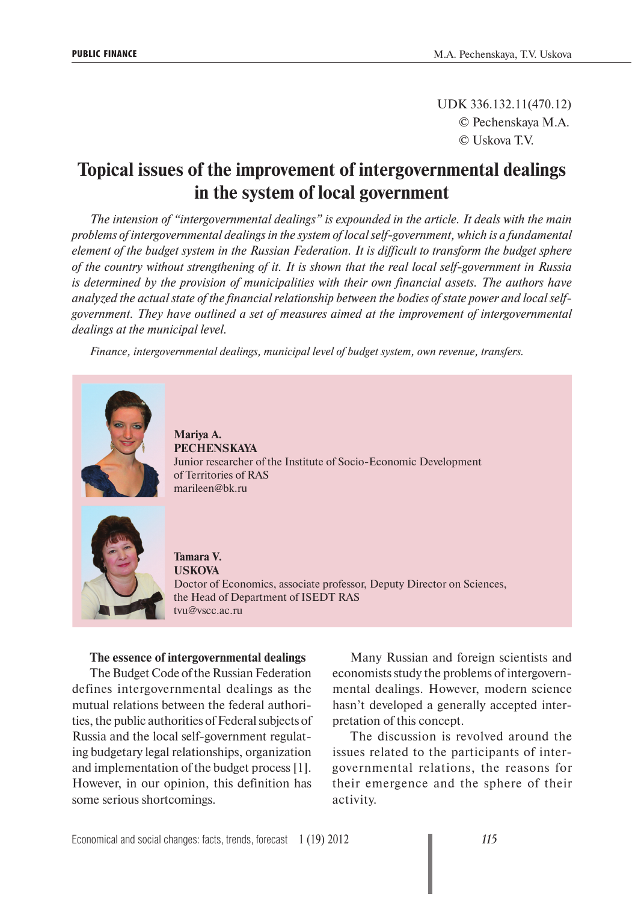UDK 336.132.11(470.12) © Pechenskaya M.A. © Uskova T.V.

# **Topical issues of the improvement of intergovernmental dealings in the system of local government**

*The intension of "intergovernmental dealings" is expounded in the article. It deals with the main problems of intergovernmental dealings in the system of local self-government, which is a fundamental element of the budget system in the Russian Federation. It is difficult to transform the budget sphere of the country without strengthening of it. It is shown that the real local self-government in Russia is determined by the provision of municipalities with their own financial assets. The authors have analyzed the actual state of the financial relationship between the bodies of state power and local selfgovernment. They have outlined a set of measures aimed at the improvement of intergovernmental dealings at the municipal level.*

*Finance, intergovernmental dealings, municipal level of budget system, own revenue, transfers.*



**Mariya A. PECHENSKAYA** Junior researcher of the Institute of Socio-Economic Development of Territories of RAS marileen@bk.ru



**Tamara V. USKOVA** Doctor of Economics, associate professor, Deputy Director on Sciences, the Head of Department of ISEDT RAS tvu@vscc.ac.ru

#### **The essence of intergovernmental dealings**

The Budget Code of the Russian Federation defines intergovernmental dealings as the mutual relations between the federal authorities, the public authorities of Federal subjects of Russia and the local self-government regulating budgetary legal relationships, organization and implementation of the budget process [1]. However, in our opinion, this definition has some serious shortcomings.

Many Russian and foreign scientists and economists study the problems of intergovernmental dealings. However, modern science hasn't developed a generally accepted interpretation of this concept.

The discussion is revolved around the issues related to the participants of intergovernmental relations, the reasons for their emergence and the sphere of their activity.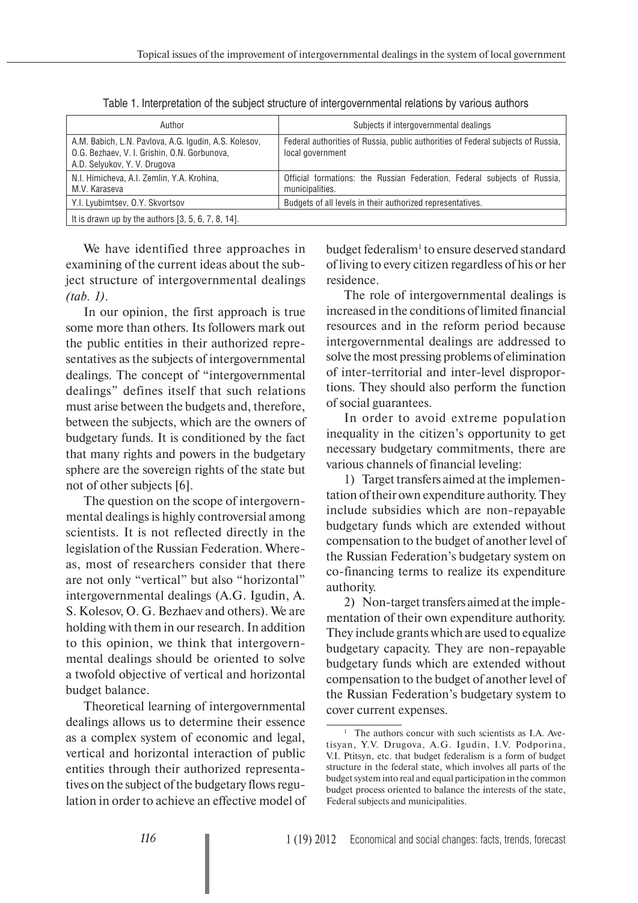| Author                                                                                                                                | Subjects if intergovernmental dealings                                                               |  |  |  |  |  |  |  |
|---------------------------------------------------------------------------------------------------------------------------------------|------------------------------------------------------------------------------------------------------|--|--|--|--|--|--|--|
| A.M. Babich, L.N. Pavlova, A.G. Igudin, A.S. Kolesov,<br>O.G. Bezhaev, V. I. Grishin, O.N. Gorbunova,<br>A.D. Selyukov, Y. V. Drugova | Federal authorities of Russia, public authorities of Federal subjects of Russia,<br>local government |  |  |  |  |  |  |  |
| N.I. Himicheva, A.I. Zemlin, Y.A. Krohina,<br>M.V. Karaseva                                                                           | Official formations: the Russian Federation, Federal subjects of Russia,<br>municipalities.          |  |  |  |  |  |  |  |
| Y.I. Lyubimtsev, O.Y. Skvortsov                                                                                                       | Budgets of all levels in their authorized representatives.                                           |  |  |  |  |  |  |  |
| It is drawn up by the authors $[3, 5, 6, 7, 8, 14]$ .                                                                                 |                                                                                                      |  |  |  |  |  |  |  |

Table 1. Interpretation of the subject structure of intergovernmental relations by various authors

We have identified three approaches in examining of the current ideas about the subject structure of intergovernmental dealings *(tab. 1)*.

In our opinion, the first approach is true some more than others. Its followers mark out the public entities in their authorized representatives as the subjects of intergovernmental dealings. The concept of "intergovernmental dealings" defines itself that such relations must arise between the budgets and, therefore, between the subjects, which are the owners of budgetary funds. It is conditioned by the fact that many rights and powers in the budgetary sphere are the sovereign rights of the state but not of other subjects [6].

The question on the scope of intergovernmental dealings is highly controversial among scientists. It is not reflected directly in the legislation of the Russian Federation. Whereas, most of researchers consider that there are not only "vertical" but also "horizontal" intergovernmental dealings (A.G. Igudin, A. S. Kolesov, O. G. Bezhaev and others). We are holding with them in our research. In addition to this opinion, we think that intergovernmental dealings should be oriented to solve a twofold objective of vertical and horizontal budget balance.

Theoretical learning of intergovernmental dealings allows us to determine their essence as a complex system of economic and legal, vertical and horizontal interaction of public entities through their authorized representatives on the subject of the budgetary flows regulation in order to achieve an effective model of

budget federalism<sup>1</sup> to ensure deserved standard of living to every citizen regardless of his or her residence.

The role of intergovernmental dealings is increased in the conditions of limited financial resources and in the reform period because intergovernmental dealings are addressed to solve the most pressing problems of elimination of inter-territorial and inter-level disproportions. They should also perform the function of social guarantees.

In order to avoid extreme population inequality in the citizen's opportunity to get necessary budgetary commitments, there are various channels of financial leveling:

1) Target transfers aimed at the implementation of their own expenditure authority. They include subsidies which are non-repayable budgetary funds which are extended without compensation to the budget of another level of the Russian Federation's budgetary system on co-financing terms to realize its expenditure authority.

2) Non-target transfers aimed at the implementation of their own expenditure authority. They include grants which are used to equalize budgetary capacity. They are non-repayable budgetary funds which are extended without compensation to the budget of another level of the Russian Federation's budgetary system to cover current expenses.

<sup>&</sup>lt;sup>1</sup> The authors concur with such scientists as I.A. Avetisyan, Y.V. Drugova, A.G. Igudin, I.V. Podporina, V.I. Ptitsyn, etc. that budget federalism is a form of budget structure in the federal state, which involves all parts of the budget system into real and equal participation in the common budget process oriented to balance the interests of the state, Federal subjects and municipalities.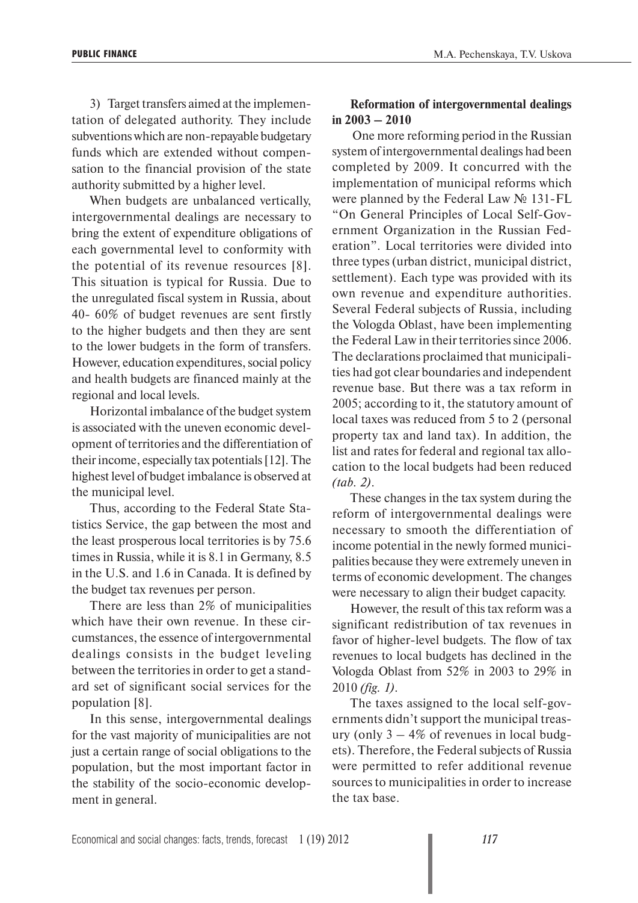3) Target transfers aimed at the implementation of delegated authority. They include subventions which are non-repayable budgetary funds which are extended without compensation to the financial provision of the state authority submitted by a higher level.

When budgets are unbalanced vertically, intergovernmental dealings are necessary to bring the extent of expenditure obligations of each governmental level to conformity with the potential of its revenue resources [8]. This situation is typical for Russia. Due to the unregulated fiscal system in Russia, about 40- 60% of budget revenues are sent firstly to the higher budgets and then they are sent to the lower budgets in the form of transfers. However, education expenditures, social policy and health budgets are financed mainly at the regional and local levels.

Horizontal imbalance of the budget system is associated with the uneven economic development of territories and the differentiation of their income, especially tax potentials [12]. The highest level of budget imbalance is observed at the municipal level.

Thus, according to the Federal State Statistics Service, the gap between the most and the least prosperous local territories is by 75.6 times in Russia, while it is 8.1 in Germany, 8.5 in the U.S. and 1.6 in Canada. It is defined by the budget tax revenues per person.

There are less than 2% of municipalities which have their own revenue. In these circumstances, the essence of intergovernmental dealings consists in the budget leveling between the territories in order to get a standard set of significant social services for the population [8].

In this sense, intergovernmental dealings for the vast majority of municipalities are not just a certain range of social obligations to the population, but the most important factor in the stability of the socio-economic development in general.

# **Reformation of intergovernmental dealings in 2003 – 2010**

 One more reforming period in the Russian system of intergovernmental dealings had been completed by 2009. It concurred with the implementation of municipal reforms which were planned by the Federal Law № 131-FL "On General Principles of Local Self-Government Organization in the Russian Federation". Local territories were divided into three types (urban district, municipal district, settlement). Each type was provided with its own revenue and expenditure authorities. Several Federal subjects of Russia, including the Vologda Oblast, have been implementing the Federal Law in their territories since 2006. The declarations proclaimed that municipalities had got clear boundaries and independent revenue base. But there was a tax reform in 2005; according to it, the statutory amount of local taxes was reduced from 5 to 2 (personal property tax and land tax). In addition, the list and rates for federal and regional tax allocation to the local budgets had been reduced *(tab. 2)*.

These changes in the tax system during the reform of intergovernmental dealings were necessary to smooth the differentiation of income potential in the newly formed municipalities because they were extremely uneven in terms of economic development. The changes were necessary to align their budget capacity.

However, the result of this tax reform was a significant redistribution of tax revenues in favor of higher-level budgets. The flow of tax revenues to local budgets has declined in the Vologda Oblast from 52% in 2003 to 29% in 2010 *(fig. 1)*.

The taxes assigned to the local self-governments didn't support the municipal treasury (only  $3 - 4\%$  of revenues in local budgets). Therefore, the Federal subjects of Russia were permitted to refer additional revenue sources to municipalities in order to increase the tax base.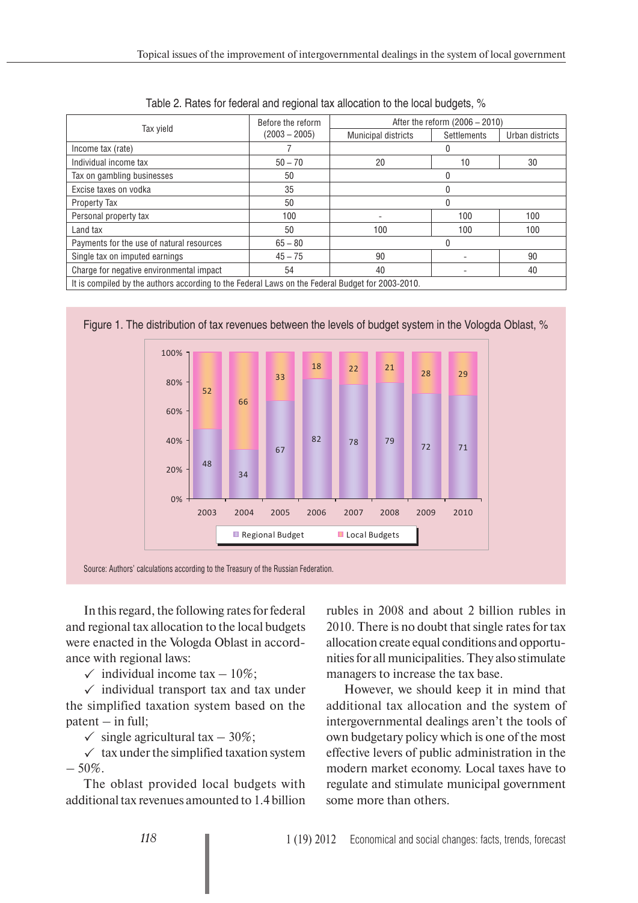|                                           | Before the reform | After the reform (2006 - 2010) |                    |                 |  |  |  |  |  |
|-------------------------------------------|-------------------|--------------------------------|--------------------|-----------------|--|--|--|--|--|
| Tax vield                                 | $(2003 - 2005)$   | <b>Municipal districts</b>     | <b>Settlements</b> | Urban districts |  |  |  |  |  |
| Income tax (rate)                         |                   |                                |                    |                 |  |  |  |  |  |
| Individual income tax                     | $50 - 70$         | 20                             | 10                 | 30              |  |  |  |  |  |
| Tax on gambling businesses                | 50                |                                |                    |                 |  |  |  |  |  |
| Excise taxes on vodka                     | 35                |                                |                    |                 |  |  |  |  |  |
| Property Tax                              | 50                |                                |                    |                 |  |  |  |  |  |
| Personal property tax                     | 100               |                                | 100                | 100             |  |  |  |  |  |
| Land tax                                  | 50                | 100                            | 100                | 100             |  |  |  |  |  |
| Payments for the use of natural resources | $65 - 80$         |                                |                    |                 |  |  |  |  |  |
| Single tax on imputed earnings            | $45 - 75$         | 90                             |                    | 90              |  |  |  |  |  |
| Charge for negative environmental impact  | 54                | 40                             |                    | 40              |  |  |  |  |  |

Table 2. Rates for federal and regional tax allocation to the local budgets, %

Figure 1. The distribution of tax revenues between the levels of budget system in the Vologda Oblast, %



In this regard, the following rates for federal and regional tax allocation to the local budgets were enacted in the Vologda Oblast in accordance with regional laws:

 $\checkmark$  individual income tax  $-10\%$ ;

 $\checkmark$  individual transport tax and tax under the simplified taxation system based on the  $pattern - in full;$ 

 $\checkmark$  single agricultural tax – 30%;

 $\checkmark$  tax under the simplified taxation system  $-50\%$ .

The oblast provided local budgets with additional tax revenues amounted to 1.4 billion

rubles in 2008 and about 2 billion rubles in 2010. There is no doubt that single rates for tax allocation create equal conditions and opportunities for all municipalities. They also stimulate managers to increase the tax base.

However, we should keep it in mind that additional tax allocation and the system of intergovernmental dealings aren't the tools of own budgetary policy which is one of the most effective levers of public administration in the modern market economy. Local taxes have to regulate and stimulate municipal government some more than others.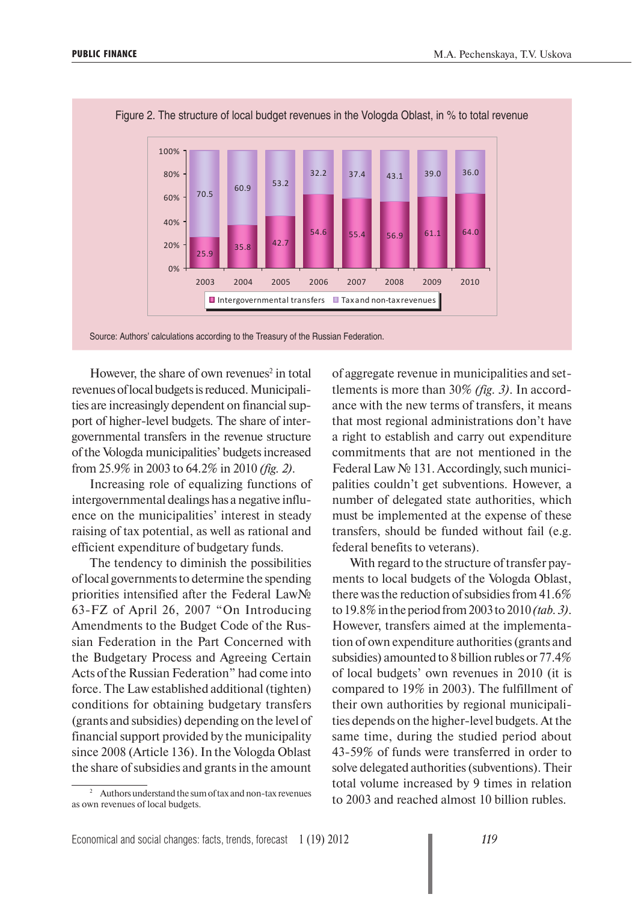

Figure 2. The structure of local budget revenues in the Vologda Oblast, in % to total revenue

However, the share of own revenues<sup>2</sup> in total revenues of local budgets is reduced. Municipalities are increasingly dependent on financial support of higher-level budgets. The share of intergovernmental transfers in the revenue structure of the Vologda municipalities' budgets increased from 25.9% in 2003 to 64.2% in 2010 *(fig. 2)*.

Increasing role of equalizing functions of intergovernmental dealings has a negative influence on the municipalities' interest in steady raising of tax potential, as well as rational and efficient expenditure of budgetary funds.

The tendency to diminish the possibilities of local governments to determine the spending priorities intensified after the Federal Law№ 63-FZ of April 26, 2007 "On Introducing Amendments to the Budget Code of the Russian Federation in the Part Concerned with the Budgetary Process and Agreeing Certain Acts of the Russian Federation" had come into force. The Law established additional (tighten) conditions for obtaining budgetary transfers (grants and subsidies) depending on the level of financial support provided by the municipality since 2008 (Article 136). In the Vologda Oblast the share of subsidies and grants in the amount

2 Authors understand the sum of tax and non-tax revenues as own revenues of local budgets.

of aggregate revenue in municipalities and settlements is more than 30% *(fig. 3)*. In accordance with the new terms of transfers, it means that most regional administrations don't have a right to establish and carry out expenditure commitments that are not mentioned in the Federal Law № 131. Accordingly, such municipalities couldn't get subventions. However, a number of delegated state authorities, which must be implemented at the expense of these transfers, should be funded without fail (e.g. federal benefits to veterans).

With regard to the structure of transfer payments to local budgets of the Vologda Oblast, there was the reduction of subsidies from 41.6% to 19.8% in the period from 2003 to 2010 *(tab. 3)*. However, transfers aimed at the implementation of own expenditure authorities (grants and subsidies) amounted to 8 billion rubles or 77.4% of local budgets' own revenues in 2010 (it is compared to 19% in 2003). The fulfillment of their own authorities by regional municipalities depends on the higher-level budgets. At the same time, during the studied period about 43-59% of funds were transferred in order to solve delegated authorities (subventions). Their total volume increased by 9 times in relation to 2003 and reached almost 10 billion rubles.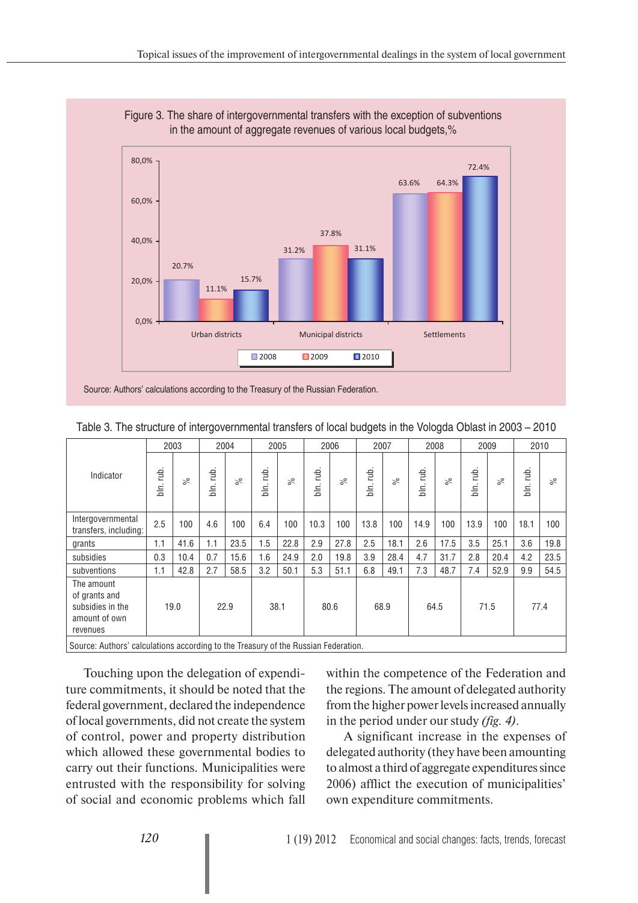

Figure 3. The share of intergovernmental transfers with the exception of subventions in the amount of aggregate revenues of various local budgets,%

Source: Authors' calculations according to the Treasury of the Russian Federation.

|                                                                              | 2003                  |           | 2004         |           | 2005         |           | 2006                             |           | 2007                  |      | 2008                   |           | 2009                  |           | 2010                   |           |
|------------------------------------------------------------------------------|-----------------------|-----------|--------------|-----------|--------------|-----------|----------------------------------|-----------|-----------------------|------|------------------------|-----------|-----------------------|-----------|------------------------|-----------|
| Indicator                                                                    | rub.<br>$\frac{1}{2}$ | $\approx$ | tub.<br>bln. | $\approx$ | rub.<br>jin. | $\approx$ | rub.<br>$\cdot$<br>$\frac{1}{2}$ | $\approx$ | rub.<br>$\frac{1}{2}$ | వ్ౖ  | rub.<br>$\overline{5}$ | $\approx$ | db.<br>$\overline{5}$ | $\approx$ | rub.<br>$\cdot$<br>in. | $\approx$ |
| Intergovernmental<br>transfers, including:                                   | 2.5                   | 100       | 4.6          | 100       | 6.4          | 100       | 10.3                             | 100       | 13.8                  | 100  | 14.9                   | 100       | 13.9                  | 100       | 18.1                   | 100       |
| grants                                                                       | 1.1                   | 41.6      | 1.1          | 23.5      | 1.5          | 22.8      | 2.9                              | 27.8      | 2.5                   | 18.1 | 2.6                    | 17.5      | 3.5                   | 25.1      | 3.6                    | 19.8      |
| subsidies                                                                    | 0.3                   | 10.4      | 0.7          | 15.6      | 1.6          | 24.9      | 2.0                              | 19.8      | 3.9                   | 28.4 | 4.7                    | 31.7      | 2.8                   | 20.4      | 4.2                    | 23.5      |
| subventions                                                                  | 1.1                   | 42.8      | 2.7          | 58.5      | 3.2          | 50.1      | 5.3                              | 51.1      | 6.8                   | 49.1 | 7.3                    | 48.7      | 7.4                   | 52.9      | 9.9                    | 54.5      |
| The amount<br>of grants and<br>subsidies in the<br>amount of own<br>revenues | 19.0                  |           |              | 22.9      | 38.1         |           | 80.6                             |           | 68.9                  |      | 64.5                   |           | 71.5                  |           | 77.4                   |           |

Table 3. The structure of intergovernmental transfers of local budgets in the Vologda Oblast in 2003 – 2010

Source: Authors' calculations according to the Treasury of the Russian Federation.

Touching upon the delegation of expenditure commitments, it should be noted that the federal government, declared the independence of local governments, did not create the system of control, power and property distribution which allowed these governmental bodies to carry out their functions. Municipalities were entrusted with the responsibility for solving of social and economic problems which fall

within the competence of the Federation and the regions. The amount of delegated authority from the higher power levels increased annually in the period under our study *(fig. 4)*.

A significant increase in the expenses of delegated authority (they have been amounting to almost a third of aggregate expenditures since 2006) afflict the execution of municipalities' own expenditure commitments.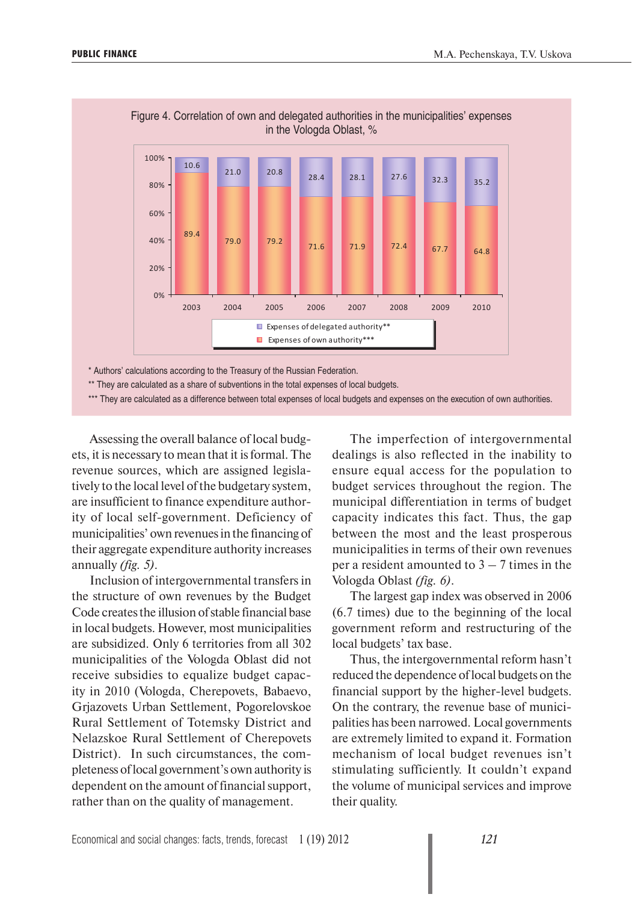

Figure 4. Correlation of own and delegated authorities in the municipalities' expenses in the Vologda Oblast, %

\* Authors' calculations according to the Treasury of the Russian Federation.

\*\* They are calculated as a share of subventions in the total expenses of local budgets.

\*\*\* They are calculated as a difference between total expenses of local budgets and expenses on the execution of own authorities.

Assessing the overall balance of local budgets, it is necessary to mean that it is formal. The revenue sources, which are assigned legislatively to the local level of the budgetary system, are insufficient to finance expenditure authority of local self-government. Deficiency of municipalities' own revenues in the financing of their aggregate expenditure authority increases annually *(fig. 5)*.

Inclusion of intergovernmental transfers in the structure of own revenues by the Budget Code creates the illusion of stable financial base in local budgets. However, most municipalities are subsidized. Only 6 territories from all 302 municipalities of the Vologda Oblast did not receive subsidies to equalize budget capacity in 2010 (Vologda, Cherepovets, Babaevo, Grjazovets Urban Settlement, Pogorelovskoe Rural Settlement of Totemsky District and Nelazskoe Rural Settlement of Cherepovets District). In such circumstances, the completeness of local government's own authority is dependent on the amount of financial support, rather than on the quality of management.

The imperfection of intergovernmental dealings is also reflected in the inability to ensure equal access for the population to budget services throughout the region. The municipal differentiation in terms of budget capacity indicates this fact. Thus, the gap between the most and the least prosperous municipalities in terms of their own revenues per a resident amounted to  $3 - 7$  times in the Vologda Oblast *(fig. 6)*.

The largest gap index was observed in 2006 (6.7 times) due to the beginning of the local government reform and restructuring of the local budgets' tax base.

Thus, the intergovernmental reform hasn't reduced the dependence of local budgets on the financial support by the higher-level budgets. On the contrary, the revenue base of municipalities has been narrowed. Local governments are extremely limited to expand it. Formation mechanism of local budget revenues isn't stimulating sufficiently. It couldn't expand the volume of municipal services and improve their quality.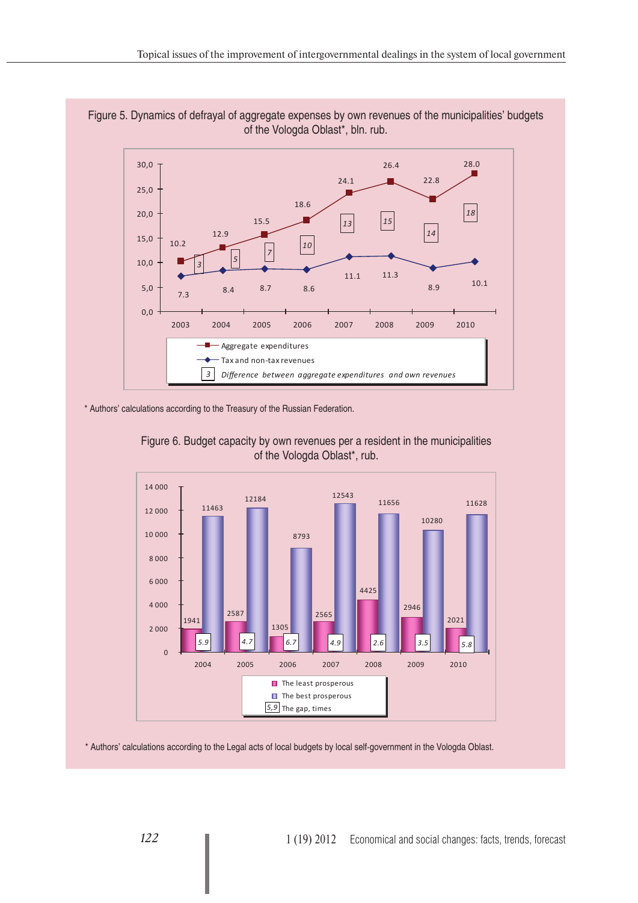



\* Authors' calculations according to the Treasury of the Russian Federation.





\* Authors' calculations according to the Legal acts of local budgets by local self-government in the Vologda Oblast.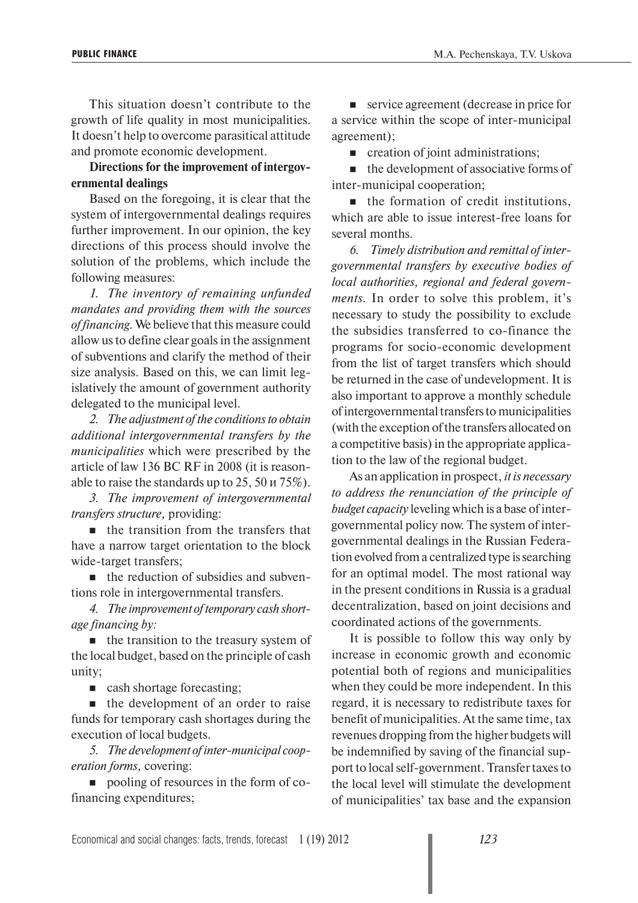This situation doesn't contribute to the growth of life quality in most municipalities. It doesn't help to overcome parasitical attitude and promote economic development.

### **Directions for the improvement of intergovernmental dealings**

Based on the foregoing, it is clear that the system of intergovernmental dealings requires further improvement. In our opinion, the key directions of this process should involve the solution of the problems, which include the following measures:

*1. The inventory of remaining unfunded mandates and providing them with the sources of financing.* We believe that this measure could allow us to define clear goals in the assignment of subventions and clarify the method of their size analysis. Based on this, we can limit legislatively the amount of government authority delegated to the municipal level.

*2. The adjustment of the conditions to obtain additional intergovernmental transfers by the municipalities* which were prescribed by the article of law 136 BC RF in 2008 (it is reasonable to raise the standards up to 25, 50 и 75%).

*3. The improvement of intergovernmental transfers structure,* providing:

 $\blacksquare$  the transition from the transfers that have a narrow target orientation to the block wide-target transfers;

 $\blacksquare$  the reduction of subsidies and subventions role in intergovernmental transfers.

*4. The improvement of temporary cash shortage financing by:* 

 $\blacksquare$  the transition to the treasury system of the local budget, based on the principle of cash unity;

**Exercise** cash shortage forecasting;

 $\blacksquare$  the development of an order to raise funds for temporary cash shortages during the execution of local budgets.

*5. The development of inter-municipal cooperation forms,* covering:

**pooling of resources in the form of co**financing expenditures;

service agreement (decrease in price for a service within the scope of inter-municipal agreement);

**Exercise 1** creation of joint administrations;

 $\blacksquare$  the development of associative forms of inter-municipal cooperation;

 $\blacksquare$  the formation of credit institutions, which are able to issue interest-free loans for several months.

*6. Timely distribution and remittal of intergovernmental transfers by executive bodies of local authorities, regional and federal governments.* In order to solve this problem, it's necessary to study the possibility to exclude the subsidies transferred to co-finance the programs for socio-economic development from the list of target transfers which should be returned in the case of undevelopment. It is also important to approve a monthly schedule of intergovernmental transfers to municipalities (with the exception of the transfers allocated on a competitive basis) in the appropriate application to the law of the regional budget.

As an application in prospect, *it is necessary to address the renunciation of the principle of budget capacity* leveling which is a base of intergovernmental policy now. The system of intergovernmental dealings in the Russian Federation evolved from a centralized type is searching for an optimal model. The most rational way in the present conditions in Russia is a gradual decentralization, based on joint decisions and coordinated actions of the governments.

It is possible to follow this way only by increase in economic growth and economic potential both of regions and municipalities when they could be more independent. In this regard, it is necessary to redistribute taxes for benefit of municipalities. At the same time, tax revenues dropping from the higher budgets will be indemnified by saving of the financial support to local self-government. Transfer taxes to the local level will stimulate the development of municipalities' tax base and the expansion